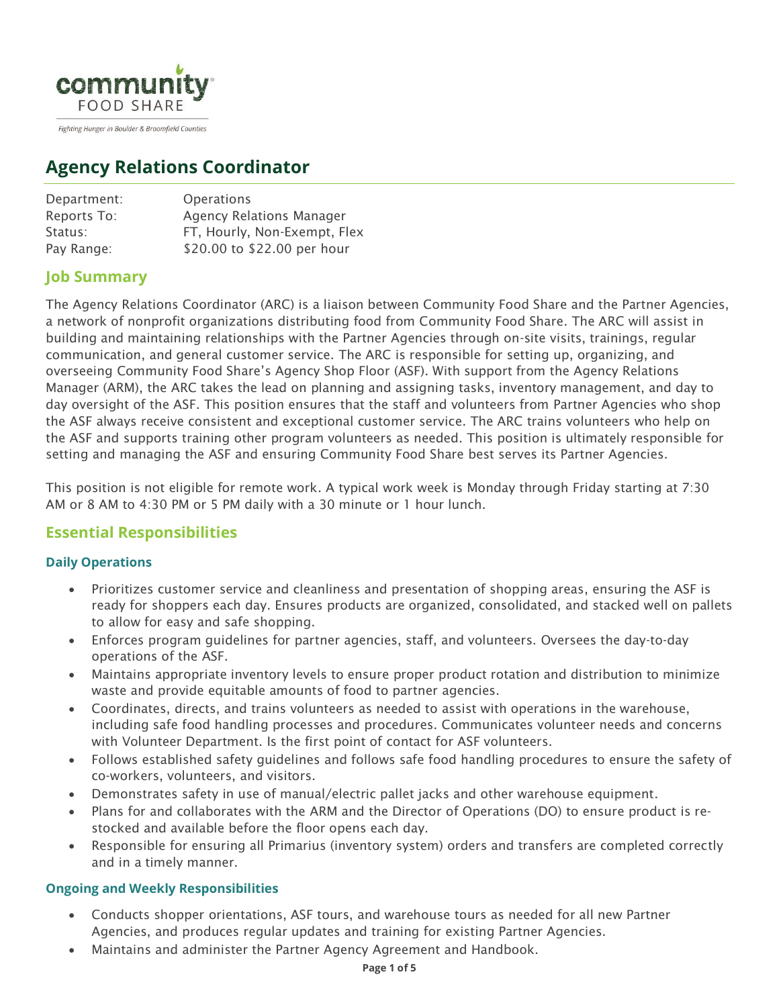

Fighting Hunger in Boulder & Broomfield Counties

# **Agency Relations Coordinator**

| <b>Operations</b>               |
|---------------------------------|
| <b>Agency Relations Manager</b> |
| FT, Hourly, Non-Exempt, Flex    |
| \$20.00 to \$22.00 per hour     |
|                                 |

# **Job Summary**

The Agency Relations Coordinator (ARC) is a liaison between Community Food Share and the Partner Agencies, a network of nonprofit organizations distributing food from Community Food Share. The ARC will assist in building and maintaining relationships with the Partner Agencies through on-site visits, trainings, regular communication, and general customer service. The ARC is responsible for setting up, organizing, and overseeing Community Food Share's Agency Shop Floor (ASF). With support from the Agency Relations Manager (ARM), the ARC takes the lead on planning and assigning tasks, inventory management, and day to day oversight of the ASF. This position ensures that the staff and volunteers from Partner Agencies who shop the ASF always receive consistent and exceptional customer service. The ARC trains volunteers who help on the ASF and supports training other program volunteers as needed. This position is ultimately responsible for setting and managing the ASF and ensuring Community Food Share best serves its Partner Agencies.

This position is not eligible for remote work. A typical work week is Monday through Friday starting at 7:30 AM or 8 AM to 4:30 PM or 5 PM daily with a 30 minute or 1 hour lunch.

# **Essential Responsibilities**

## **Daily Operations**

- Prioritizes customer service and cleanliness and presentation of shopping areas, ensuring the ASF is ready for shoppers each day. Ensures products are organized, consolidated, and stacked well on pallets to allow for easy and safe shopping.
- Enforces program guidelines for partner agencies, staff, and volunteers. Oversees the day-to-day operations of the ASF.
- Maintains appropriate inventory levels to ensure proper product rotation and distribution to minimize waste and provide equitable amounts of food to partner agencies.
- Coordinates, directs, and trains volunteers as needed to assist with operations in the warehouse, including safe food handling processes and procedures. Communicates volunteer needs and concerns with Volunteer Department. Is the first point of contact for ASF volunteers.
- Follows established safety guidelines and follows safe food handling procedures to ensure the safety of co-workers, volunteers, and visitors.
- Demonstrates safety in use of manual/electric pallet jacks and other warehouse equipment.
- Plans for and collaborates with the ARM and the Director of Operations (DO) to ensure product is restocked and available before the floor opens each day.
- Responsible for ensuring all Primarius (inventory system) orders and transfers are completed correctly and in a timely manner.

## **Ongoing and Weekly Responsibilities**

- Conducts shopper orientations, ASF tours, and warehouse tours as needed for all new Partner Agencies, and produces regular updates and training for existing Partner Agencies.
- Maintains and administer the Partner Agency Agreement and Handbook.

#### **Page 1 of 5**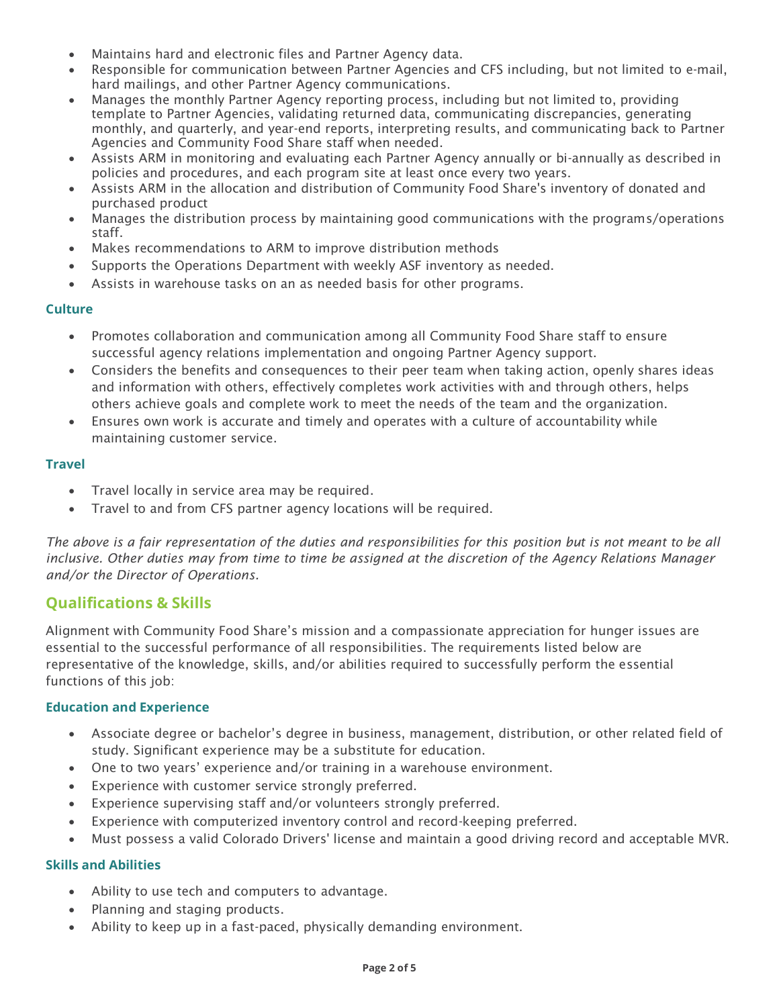- Maintains hard and electronic files and Partner Agency data.
- Responsible for communication between Partner Agencies and CFS including, but not limited to e-mail, hard mailings, and other Partner Agency communications.
- Manages the monthly Partner Agency reporting process, including but not limited to, providing template to Partner Agencies, validating returned data, communicating discrepancies, generating monthly, and quarterly, and year-end reports, interpreting results, and communicating back to Partner Agencies and Community Food Share staff when needed.
- Assists ARM in monitoring and evaluating each Partner Agency annually or bi-annually as described in policies and procedures, and each program site at least once every two years.
- Assists ARM in the allocation and distribution of Community Food Share's inventory of donated and purchased product
- Manages the distribution process by maintaining good communications with the programs/operations staff.
- Makes recommendations to ARM to improve distribution methods
- Supports the Operations Department with weekly ASF inventory as needed.
- Assists in warehouse tasks on an as needed basis for other programs.

#### **Culture**

- Promotes collaboration and communication among all Community Food Share staff to ensure successful agency relations implementation and ongoing Partner Agency support.
- Considers the benefits and consequences to their peer team when taking action, openly shares ideas and information with others, effectively completes work activities with and through others, helps others achieve goals and complete work to meet the needs of the team and the organization.
- Ensures own work is accurate and timely and operates with a culture of accountability while maintaining customer service.

#### **Travel**

- Travel locally in service area may be required.
- Travel to and from CFS partner agency locations will be required.

*The above is a fair representation of the duties and responsibilities for this position but is not meant to be all inclusive. Other duties may from time to time be assigned at the discretion of the Agency Relations Manager and/or the Director of Operations.*

## **Qualifications & Skills**

Alignment with Community Food Share's mission and a compassionate appreciation for hunger issues are essential to the successful performance of all responsibilities. The requirements listed below are representative of the knowledge, skills, and/or abilities required to successfully perform the essential functions of this job:

#### **Education and Experience**

- Associate degree or bachelor's degree in business, management, distribution, or other related field of study. Significant experience may be a substitute for education.
- One to two years' experience and/or training in a warehouse environment.
- Experience with customer service strongly preferred.
- Experience supervising staff and/or volunteers strongly preferred.
- Experience with computerized inventory control and record-keeping preferred.
- Must possess a valid Colorado Drivers' license and maintain a good driving record and acceptable MVR.

#### **Skills and Abilities**

- Ability to use tech and computers to advantage.
- Planning and staging products.
- Ability to keep up in a fast-paced, physically demanding environment.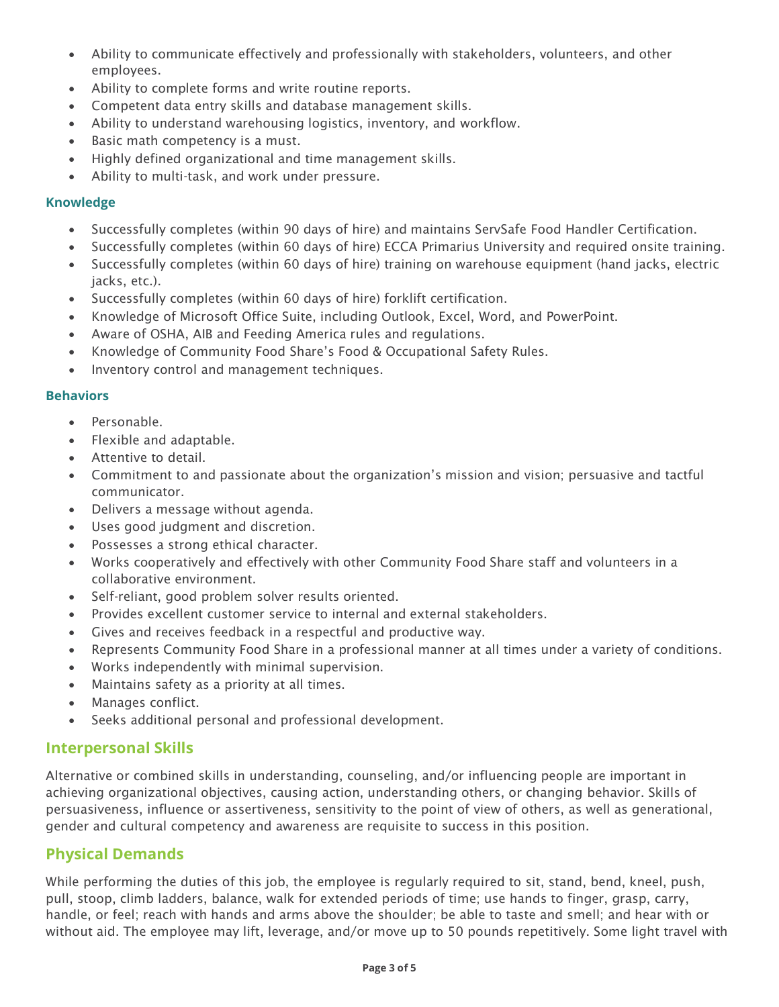- Ability to communicate effectively and professionally with stakeholders, volunteers, and other employees.
- Ability to complete forms and write routine reports.
- Competent data entry skills and database management skills.
- Ability to understand warehousing logistics, inventory, and workflow.
- Basic math competency is a must.
- Highly defined organizational and time management skills.
- Ability to multi-task, and work under pressure.

#### **Knowledge**

- Successfully completes (within 90 days of hire) and maintains ServSafe Food Handler Certification.
- Successfully completes (within 60 days of hire) ECCA Primarius University and required onsite training.
- Successfully completes (within 60 days of hire) training on warehouse equipment (hand jacks, electric jacks, etc.).
- Successfully completes (within 60 days of hire) forklift certification.
- Knowledge of Microsoft Office Suite, including Outlook, Excel, Word, and PowerPoint.
- Aware of OSHA, AIB and Feeding America rules and regulations.
- Knowledge of Community Food Share's Food & Occupational Safety Rules.
- Inventory control and management techniques.

#### **Behaviors**

- Personable.
- Flexible and adaptable.
- Attentive to detail.
- Commitment to and passionate about the organization's mission and vision; persuasive and tactful communicator.
- Delivers a message without agenda.
- Uses good judgment and discretion.
- Possesses a strong ethical character.
- Works cooperatively and effectively with other Community Food Share staff and volunteers in a collaborative environment.
- Self-reliant, good problem solver results oriented.
- Provides excellent customer service to internal and external stakeholders.
- Gives and receives feedback in a respectful and productive way.
- Represents Community Food Share in a professional manner at all times under a variety of conditions.
- Works independently with minimal supervision.
- Maintains safety as a priority at all times.
- Manages conflict.
- Seeks additional personal and professional development.

## **Interpersonal Skills**

Alternative or combined skills in understanding, counseling, and/or influencing people are important in achieving organizational objectives, causing action, understanding others, or changing behavior. Skills of persuasiveness, influence or assertiveness, sensitivity to the point of view of others, as well as generational, gender and cultural competency and awareness are requisite to success in this position.

# **Physical Demands**

While performing the duties of this job, the employee is regularly required to sit, stand, bend, kneel, push, pull, stoop, climb ladders, balance, walk for extended periods of time; use hands to finger, grasp, carry, handle, or feel; reach with hands and arms above the shoulder; be able to taste and smell; and hear with or without aid. The employee may lift, leverage, and/or move up to 50 pounds repetitively. Some light travel with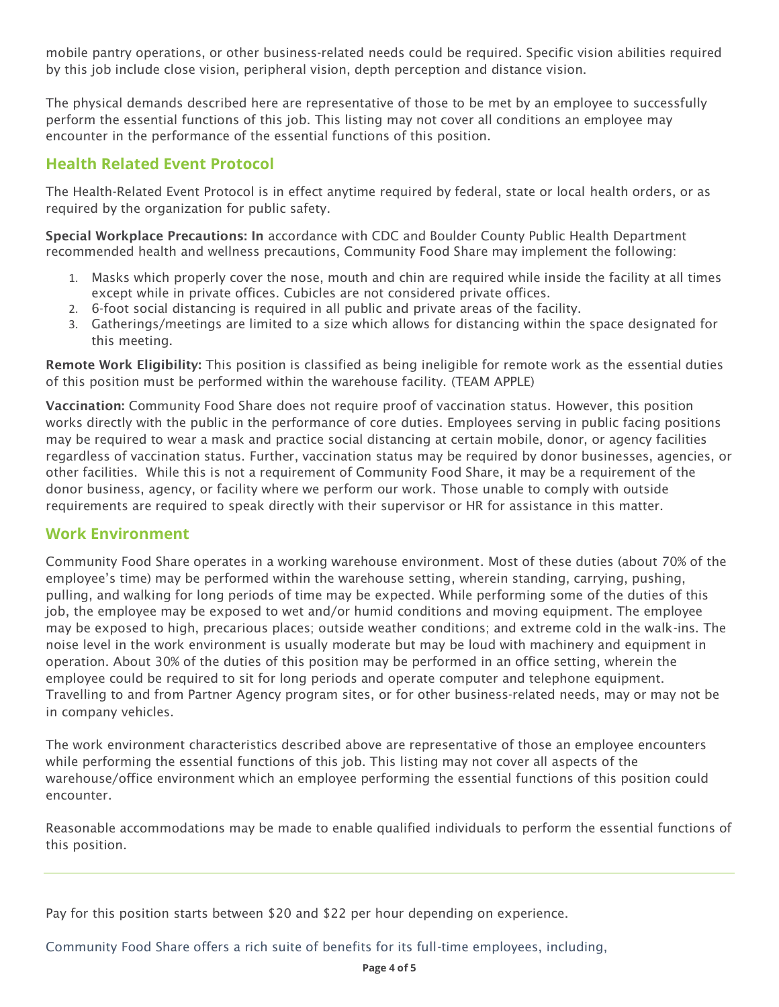mobile pantry operations, or other business-related needs could be required. Specific vision abilities required by this job include close vision, peripheral vision, depth perception and distance vision.

The physical demands described here are representative of those to be met by an employee to successfully perform the essential functions of this job. This listing may not cover all conditions an employee may encounter in the performance of the essential functions of this position.

# **Health Related Event Protocol**

The Health-Related Event Protocol is in effect anytime required by federal, state or local health orders, or as required by the organization for public safety.

Special Workplace Precautions: In accordance with CDC and Boulder County Public Health Department recommended health and wellness precautions, Community Food Share may implement the following:

- 1. Masks which properly cover the nose, mouth and chin are required while inside the facility at all times except while in private offices. Cubicles are not considered private offices.
- 2. 6-foot social distancing is required in all public and private areas of the facility.
- 3. Gatherings/meetings are limited to a size which allows for distancing within the space designated for this meeting.

Remote Work Eligibility: This position is classified as being ineligible for remote work as the essential duties of this position must be performed within the warehouse facility. (TEAM APPLE)

Vaccination: Community Food Share does not require proof of vaccination status. However, this position works directly with the public in the performance of core duties. Employees serving in public facing positions may be required to wear a mask and practice social distancing at certain mobile, donor, or agency facilities regardless of vaccination status. Further, vaccination status may be required by donor businesses, agencies, or other facilities. While this is not a requirement of Community Food Share, it may be a requirement of the donor business, agency, or facility where we perform our work. Those unable to comply with outside requirements are required to speak directly with their supervisor or HR for assistance in this matter.

## **Work Environment**

Community Food Share operates in a working warehouse environment. Most of these duties (about 70% of the employee's time) may be performed within the warehouse setting, wherein standing, carrying, pushing, pulling, and walking for long periods of time may be expected. While performing some of the duties of this job, the employee may be exposed to wet and/or humid conditions and moving equipment. The employee may be exposed to high, precarious places; outside weather conditions; and extreme cold in the walk-ins. The noise level in the work environment is usually moderate but may be loud with machinery and equipment in operation. About 30% of the duties of this position may be performed in an office setting, wherein the employee could be required to sit for long periods and operate computer and telephone equipment. Travelling to and from Partner Agency program sites, or for other business-related needs, may or may not be in company vehicles.

The work environment characteristics described above are representative of those an employee encounters while performing the essential functions of this job. This listing may not cover all aspects of the warehouse/office environment which an employee performing the essential functions of this position could encounter.

Reasonable accommodations may be made to enable qualified individuals to perform the essential functions of this position.

Pay for this position starts between \$20 and \$22 per hour depending on experience.

Community Food Share offers a rich suite of benefits for its full-time employees, including,